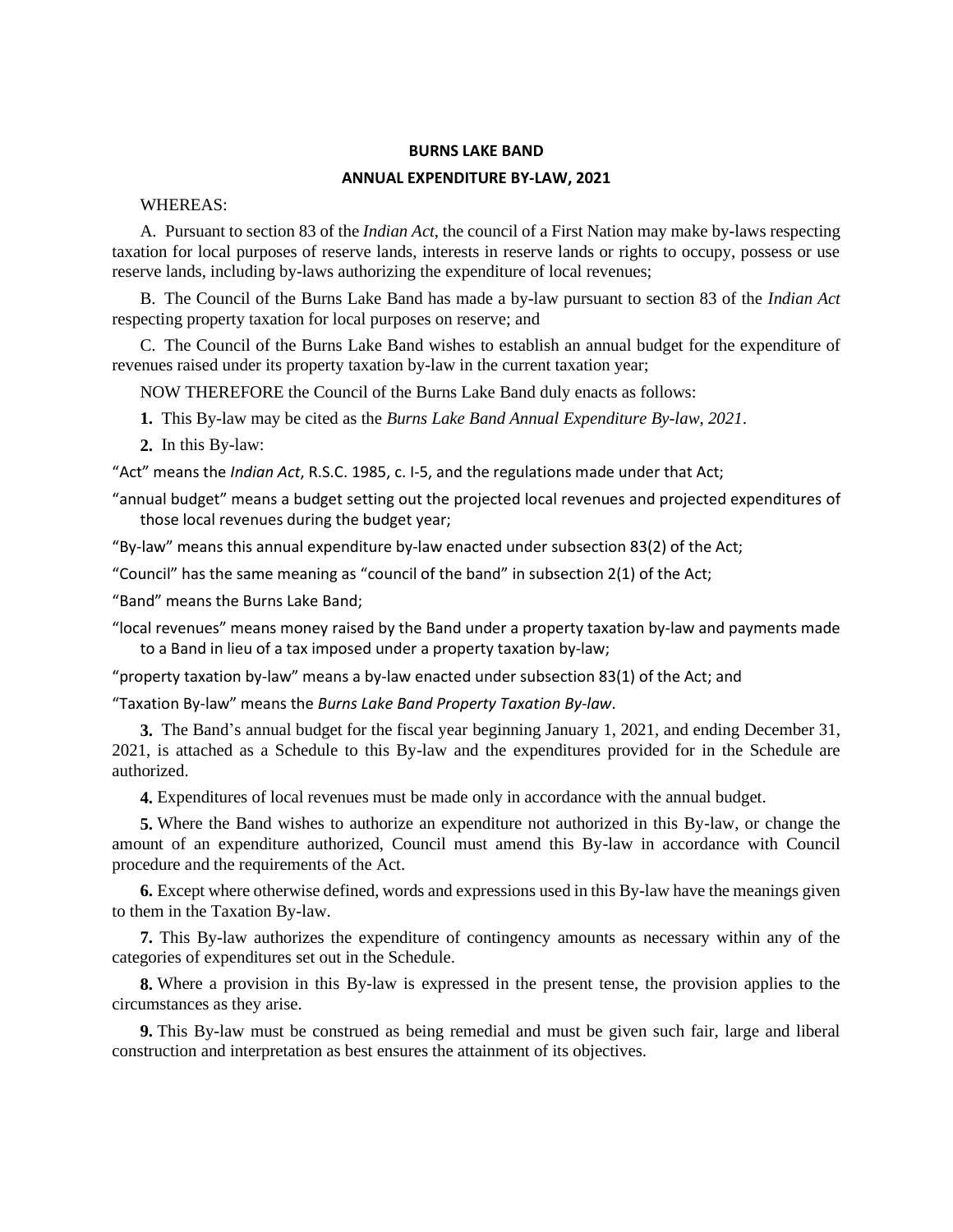#### **BURNS LAKE BAND**

#### **ANNUAL EXPENDITURE BY-LAW, 2021**

WHEREAS:

A. Pursuant to section 83 of the *Indian Act*, the council of a First Nation may make by-laws respecting taxation for local purposes of reserve lands, interests in reserve lands or rights to occupy, possess or use reserve lands, including by-laws authorizing the expenditure of local revenues;

B. The Council of the Burns Lake Band has made a by-law pursuant to section 83 of the *Indian Act* respecting property taxation for local purposes on reserve; and

C. The Council of the Burns Lake Band wishes to establish an annual budget for the expenditure of revenues raised under its property taxation by-law in the current taxation year;

NOW THEREFORE the Council of the Burns Lake Band duly enacts as follows:

- **1.** This By-law may be cited as the *Burns Lake Band Annual Expenditure By-law*, *2021*.
- **2.** In this By-law:

"Act" means the *Indian Act*, R.S.C. 1985, c. I-5, and the regulations made under that Act;

"annual budget" means a budget setting out the projected local revenues and projected expenditures of those local revenues during the budget year;

"By-law" means this annual expenditure by-law enacted under subsection 83(2) of the Act;

"Council" has the same meaning as "council of the band" in subsection 2(1) of the Act;

"Band" means the Burns Lake Band;

"local revenues" means money raised by the Band under a property taxation by-law and payments made to a Band in lieu of a tax imposed under a property taxation by-law;

"property taxation by-law" means a by-law enacted under subsection 83(1) of the Act; and

"Taxation By-law" means the *Burns Lake Band Property Taxation By-law*.

**3.** The Band's annual budget for the fiscal year beginning January 1, 2021, and ending December 31, 2021, is attached as a Schedule to this By-law and the expenditures provided for in the Schedule are authorized.

**4.** Expenditures of local revenues must be made only in accordance with the annual budget.

**5.** Where the Band wishes to authorize an expenditure not authorized in this By-law, or change the amount of an expenditure authorized, Council must amend this By-law in accordance with Council procedure and the requirements of the Act.

**6.** Except where otherwise defined, words and expressions used in this By-law have the meanings given to them in the Taxation By-law.

**7.** This By-law authorizes the expenditure of contingency amounts as necessary within any of the categories of expenditures set out in the Schedule.

**8.** Where a provision in this By-law is expressed in the present tense, the provision applies to the circumstances as they arise.

**9.** This By-law must be construed as being remedial and must be given such fair, large and liberal construction and interpretation as best ensures the attainment of its objectives.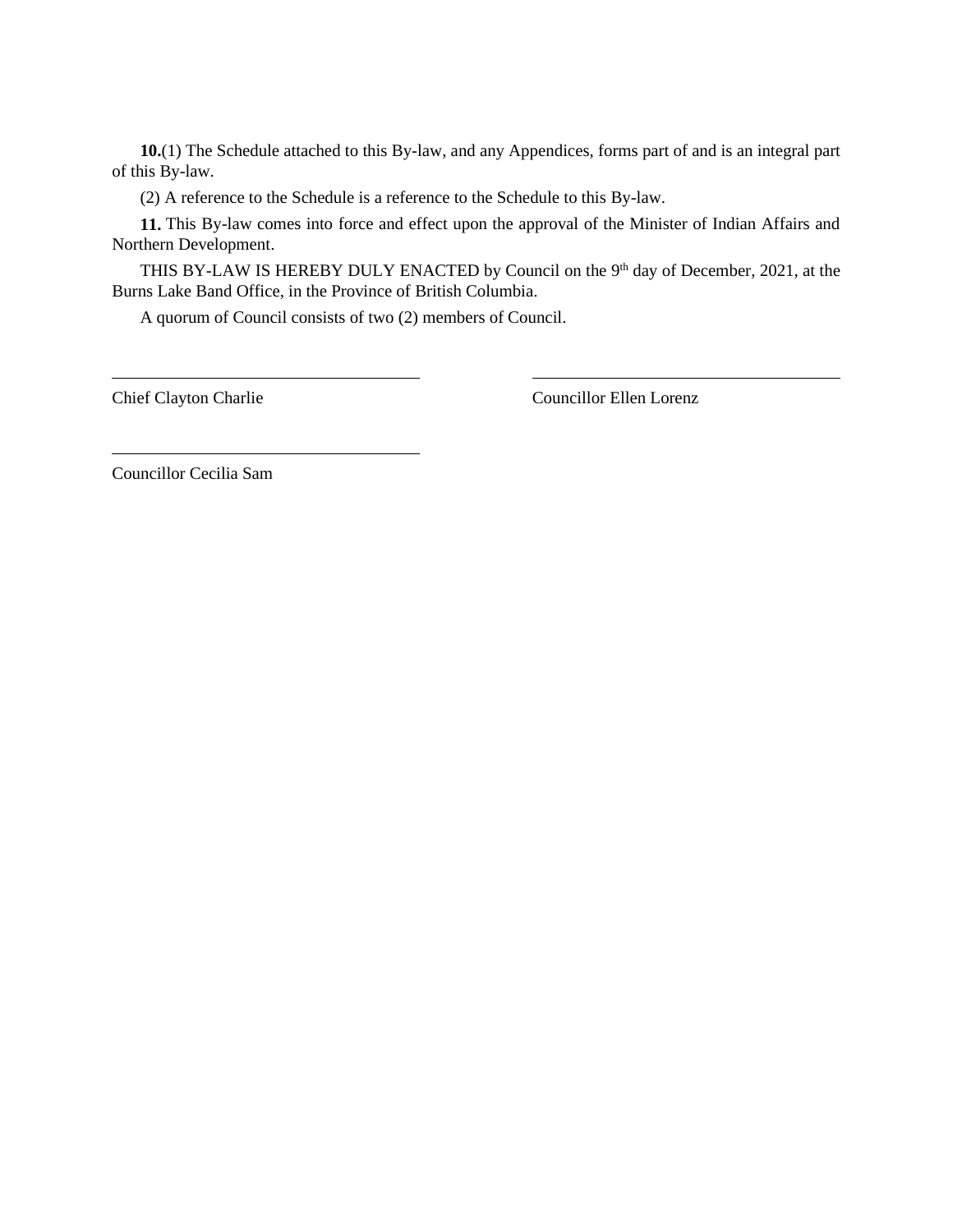**10.**(1) The Schedule attached to this By-law, and any Appendices, forms part of and is an integral part of this By-law.

(2) A reference to the Schedule is a reference to the Schedule to this By-law.

**11.** This By-law comes into force and effect upon the approval of the Minister of Indian Affairs and Northern Development.

THIS BY-LAW IS HEREBY DULY ENACTED by Council on the 9<sup>th</sup> day of December, 2021, at the Burns Lake Band Office, in the Province of British Columbia.

A quorum of Council consists of two (2) members of Council.

Chief Clayton Charlie Councillor Ellen Lorenz

Councillor Cecilia Sam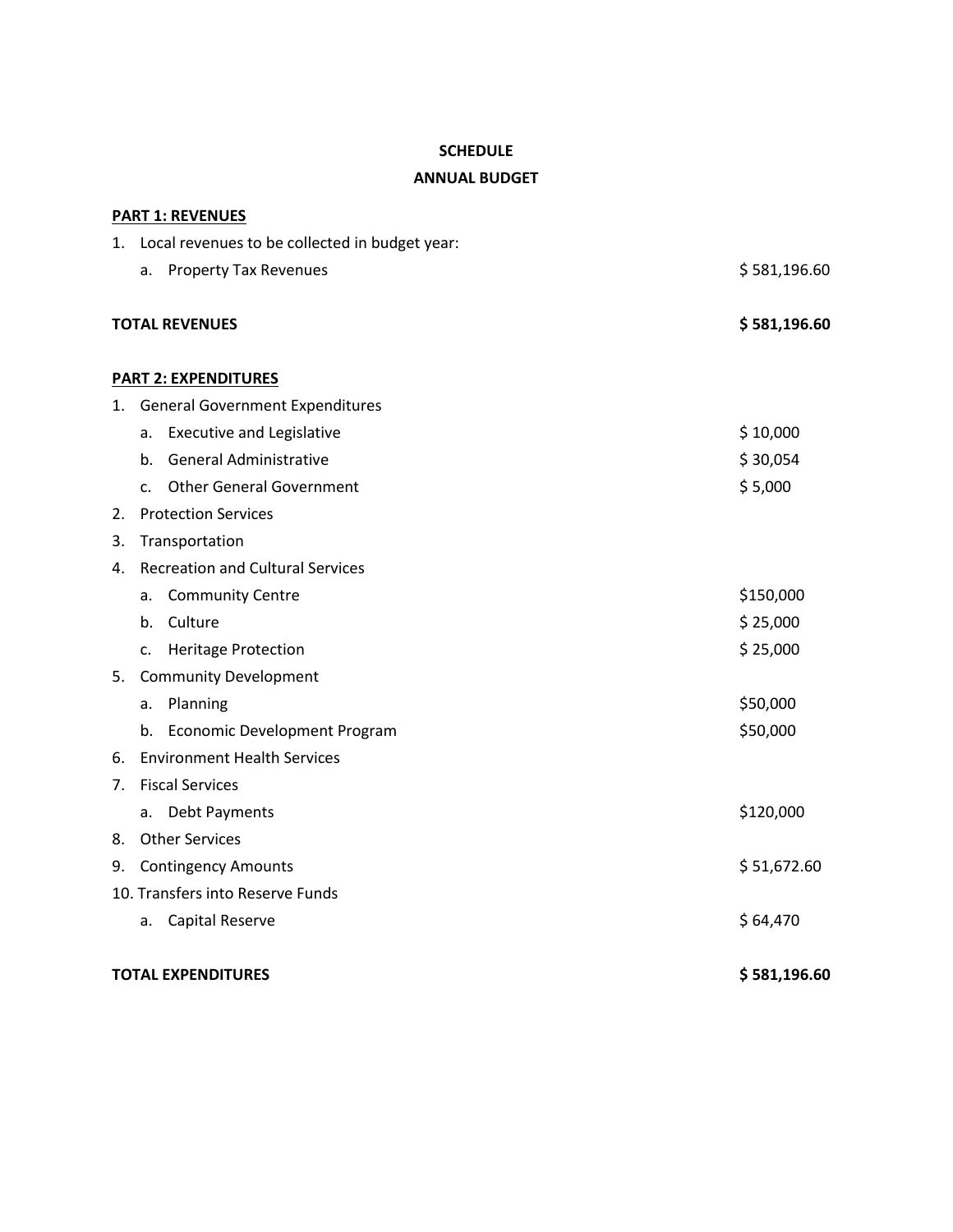## **SCHEDULE**

## **ANNUAL BUDGET**

|                           |                                         | <b>PART 1: REVENUES</b>                           |              |  |  |
|---------------------------|-----------------------------------------|---------------------------------------------------|--------------|--|--|
|                           |                                         | 1. Local revenues to be collected in budget year: |              |  |  |
|                           | a.                                      | <b>Property Tax Revenues</b>                      | \$581,196.60 |  |  |
|                           | <b>TOTAL REVENUES</b>                   |                                                   |              |  |  |
|                           |                                         | <b>PART 2: EXPENDITURES</b>                       |              |  |  |
| 1.                        | <b>General Government Expenditures</b>  |                                                   |              |  |  |
|                           | a.                                      | <b>Executive and Legislative</b>                  | \$10,000     |  |  |
|                           | $h_{\cdot}$                             | <b>General Administrative</b>                     | \$30,054     |  |  |
|                           | $C_{\cdot}$                             | <b>Other General Government</b>                   | \$5,000      |  |  |
| 2.                        |                                         | <b>Protection Services</b>                        |              |  |  |
| 3.                        |                                         | Transportation                                    |              |  |  |
| 4.                        | <b>Recreation and Cultural Services</b> |                                                   |              |  |  |
|                           | a.                                      | <b>Community Centre</b>                           | \$150,000    |  |  |
|                           | b.                                      | Culture                                           | \$25,000     |  |  |
|                           | c.                                      | <b>Heritage Protection</b>                        | \$25,000     |  |  |
| 5.                        |                                         | <b>Community Development</b>                      |              |  |  |
|                           | a.                                      | Planning                                          | \$50,000     |  |  |
|                           | b.                                      | Economic Development Program                      | \$50,000     |  |  |
| 6.                        | <b>Environment Health Services</b>      |                                                   |              |  |  |
| 7.                        | <b>Fiscal Services</b>                  |                                                   |              |  |  |
|                           | a.                                      | Debt Payments                                     | \$120,000    |  |  |
| 8.                        |                                         | <b>Other Services</b>                             |              |  |  |
| 9.                        |                                         | <b>Contingency Amounts</b>                        | \$51,672.60  |  |  |
|                           |                                         | 10. Transfers into Reserve Funds                  |              |  |  |
|                           | a.                                      | Capital Reserve                                   | \$64,470     |  |  |
| <b>TOTAL EXPENDITURES</b> |                                         |                                                   | \$581,196.60 |  |  |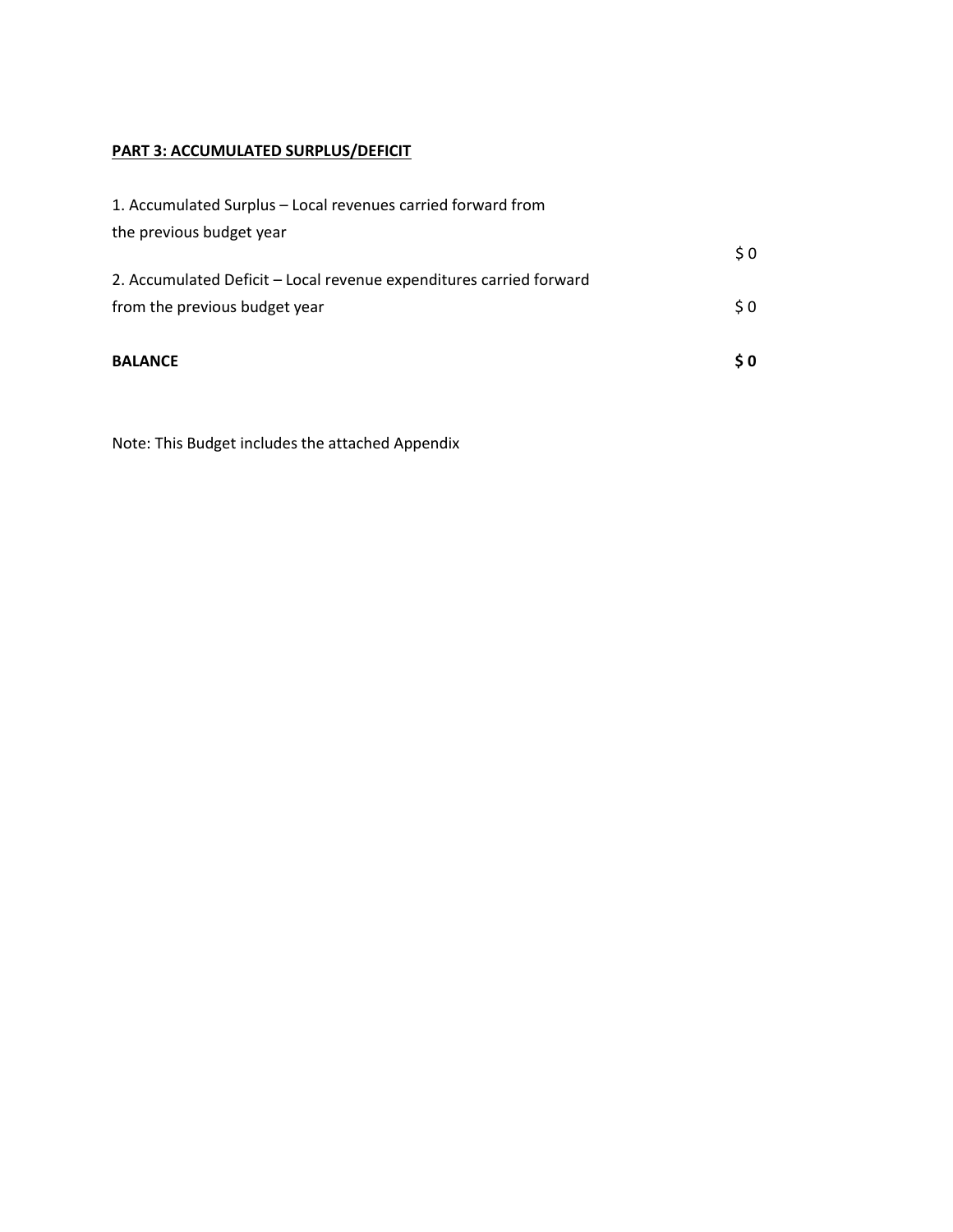# **PART 3: ACCUMULATED SURPLUS/DEFICIT**

| <b>BALANCE</b>                                                      | \$0 |
|---------------------------------------------------------------------|-----|
| from the previous budget year                                       | \$0 |
| 2. Accumulated Deficit - Local revenue expenditures carried forward |     |
| the previous budget year                                            | \$0 |
| 1. Accumulated Surplus – Local revenues carried forward from        |     |

Note: This Budget includes the attached Appendix